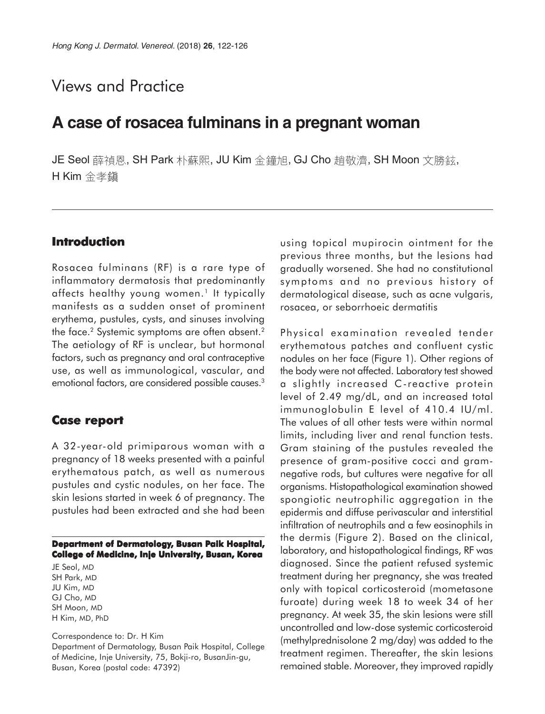# Views and Practice

# **A case of rosacea fulminans in a pregnant woman**

JE Seol 薛禎恩, SH Park 朴蘇熙, JU Kim 金鐘旭, GJ Cho 趙敬濟, SH Moon 文勝鉉, H Kim 金孝鎭

### **Introduction**

Rosacea fulminans (RF) is a rare type of inflammatory dermatosis that predominantly affects healthy young women.<sup>1</sup> It typically manifests as a sudden onset of prominent erythema, pustules, cysts, and sinuses involving the face.<sup>2</sup> Systemic symptoms are often absent.<sup>2</sup> The aetiology of RF is unclear, but hormonal factors, such as pregnancy and oral contraceptive use, as well as immunological, vascular, and emotional factors, are considered possible causes.<sup>3</sup>

#### **Case report Case**

A 32-year-old primiparous woman with a pregnancy of 18 weeks presented with a painful erythematous patch, as well as numerous pustules and cystic nodules, on her face. The skin lesions started in week 6 of pregnancy. The pustules had been extracted and she had been

#### **Department of Dermatology, Busan Paik Hospital, College of Medicine, Inje University, Busan, Korea**

JE Seol, MD SH Park, MD JU Kim, MD GJ Cho, MD SH Moon, MD H Kim, MD, PhD

Correspondence to: Dr. H Kim Department of Dermatology, Busan Paik Hospital, College of Medicine, Inje University, 75, Bokji-ro, BusanJin-gu, Busan, Korea (postal code: 47392)

using topical mupirocin ointment for the previous three months, but the lesions had gradually worsened. She had no constitutional symptoms and no previous history of dermatological disease, such as acne vulgaris, rosacea, or seborrhoeic dermatitis

Physical examination revealed tender erythematous patches and confluent cystic nodules on her face (Figure 1). Other regions of the body were not affected. Laboratory test showed a slightly increased C-reactive protein level of 2.49 mg/dL, and an increased total immunoglobulin E level of 410.4 IU/ml. The values of all other tests were within normal limits, including liver and renal function tests. Gram staining of the pustules revealed the presence of gram-positive cocci and gramnegative rods, but cultures were negative for all organisms. Histopathological examination showed spongiotic neutrophilic aggregation in the epidermis and diffuse perivascular and interstitial infiltration of neutrophils and a few eosinophils in the dermis (Figure 2). Based on the clinical, laboratory, and histopathological findings, RF was diagnosed. Since the patient refused systemic treatment during her pregnancy, she was treated only with topical corticosteroid (mometasone furoate) during week 18 to week 34 of her pregnancy. At week 35, the skin lesions were still uncontrolled and low-dose systemic corticosteroid (methylprednisolone 2 mg/day) was added to the treatment regimen. Thereafter, the skin lesions remained stable. Moreover, they improved rapidly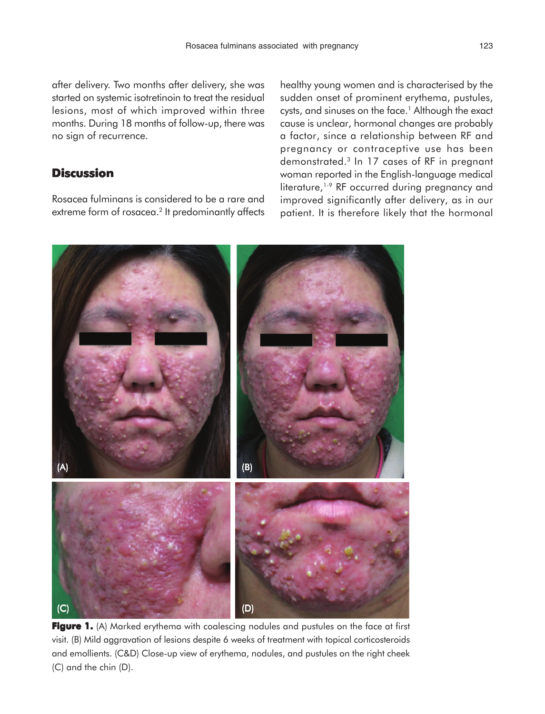after delivery. Two months after delivery, she was started on systemic isotretinoin to treat the residual lesions, most of which improved within three months. During 18 months of follow-up, there was no sign of recurrence.

### **Discussion**

Rosacea fulminans is considered to be a rare and extreme form of rosacea.<sup>2</sup> It predominantly affects healthy young women and is characterised by the sudden onset of prominent erythema, pustules, cysts, and sinuses on the face.<sup>1</sup> Although the exact cause is unclear, hormonal changes are probably a factor, since a relationship between RF and pregnancy or contraceptive use has been demonstrated.3 In 17 cases of RF in pregnant woman reported in the English-language medical literature,<sup>1-9</sup> RF occurred during pregnancy and improved significantly after delivery, as in our patient. It is therefore likely that the hormonal



**Figure 1.** (A) Marked erythema with coalescing nodules and pustules on the face at first visit. (B) Mild aggravation of lesions despite 6 weeks of treatment with topical corticosteroids and emollients. (C&D) Close-up view of erythema, nodules, and pustules on the right cheek (C) and the chin (D).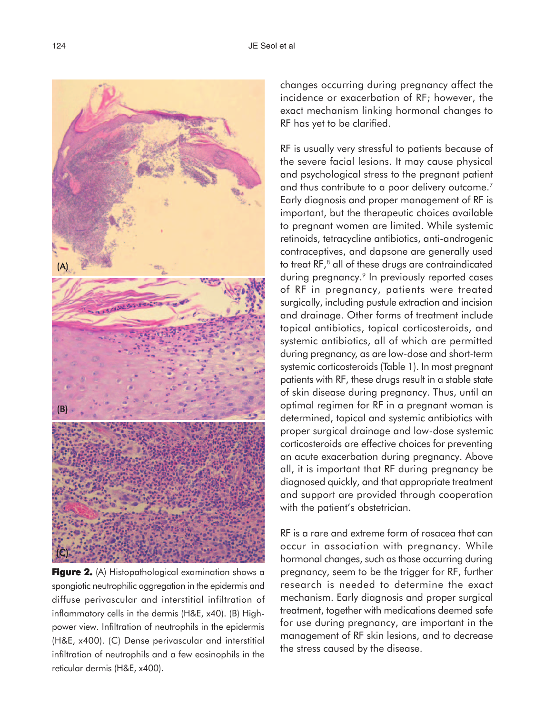

**Figure 2.** (A) Histopathological examination shows a spongiotic neutrophilic aggregation in the epidermis and diffuse perivascular and interstitial infiltration of inflammatory cells in the dermis (H&E, x40). (B) Highpower view. Infiltration of neutrophils in the epidermis (H&E, x400). (C) Dense perivascular and interstitial infiltration of neutrophils and a few eosinophils in the reticular dermis (H&E, x400).

changes occurring during pregnancy affect the incidence or exacerbation of RF; however, the exact mechanism linking hormonal changes to RF has yet to be clarified.

RF is usually very stressful to patients because of the severe facial lesions. It may cause physical and psychological stress to the pregnant patient and thus contribute to a poor delivery outcome.<sup>7</sup> Early diagnosis and proper management of RF is important, but the therapeutic choices available to pregnant women are limited. While systemic retinoids, tetracycline antibiotics, anti-androgenic contraceptives, and dapsone are generally used to treat RF,<sup>8</sup> all of these drugs are contraindicated during pregnancy.<sup>9</sup> In previously reported cases of RF in pregnancy, patients were treated surgically, including pustule extraction and incision and drainage. Other forms of treatment include topical antibiotics, topical corticosteroids, and systemic antibiotics, all of which are permitted during pregnancy, as are low-dose and short-term systemic corticosteroids (Table 1). In most pregnant patients with RF, these drugs result in a stable state of skin disease during pregnancy. Thus, until an optimal regimen for RF in a pregnant woman is determined, topical and systemic antibiotics with proper surgical drainage and low-dose systemic corticosteroids are effective choices for preventing an acute exacerbation during pregnancy. Above all, it is important that RF during pregnancy be diagnosed quickly, and that appropriate treatment and support are provided through cooperation with the patient's obstetrician.

RF is a rare and extreme form of rosacea that can occur in association with pregnancy. While hormonal changes, such as those occurring during pregnancy, seem to be the trigger for RF, further research is needed to determine the exact mechanism. Early diagnosis and proper surgical treatment, together with medications deemed safe for use during pregnancy, are important in the management of RF skin lesions, and to decrease the stress caused by the disease.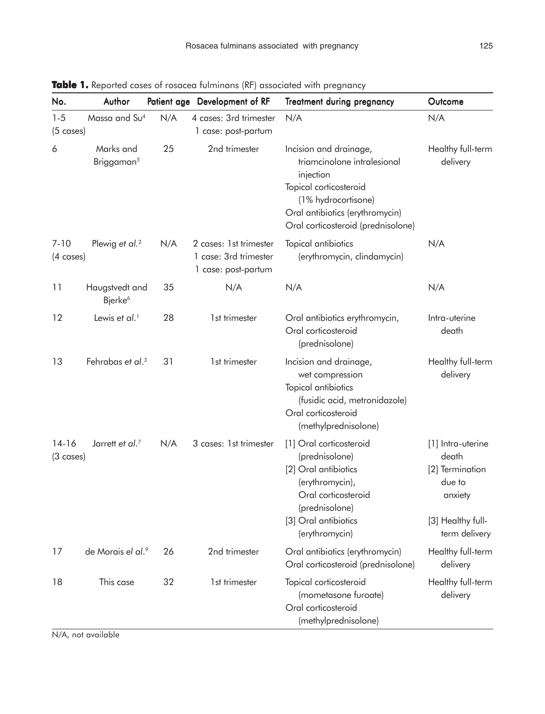| No.                              | Author                                |     | Patient age Development of RF                                          | <b>Treatment during pregnancy</b>                                                                                                                                                            | Outcome                                                                                                  |
|----------------------------------|---------------------------------------|-----|------------------------------------------------------------------------|----------------------------------------------------------------------------------------------------------------------------------------------------------------------------------------------|----------------------------------------------------------------------------------------------------------|
| $1 - 5$<br>$(5 \text{ cases})$   | Massa and Su <sup>4</sup>             | N/A | 4 cases: 3rd trimester<br>1 case: post-partum                          | N/A                                                                                                                                                                                          | N/A                                                                                                      |
| 6                                | Marks and<br>Briggaman <sup>5</sup>   | 25  | 2nd trimester                                                          | Incision and drainage,<br>triamcinolone intralesional<br>injection<br>Topical corticosteroid<br>(1% hydrocortisone)<br>Oral antibiotics (erythromycin)<br>Oral corticosteroid (prednisolone) | Healthy full-term<br>delivery                                                                            |
| $7 - 10$<br>$(4 \text{ cases})$  | Plewig et al. <sup>2</sup>            | N/A | 2 cases: 1st trimester<br>1 case: 3rd trimester<br>1 case: post-partum | Topical antibiotics<br>(erythromycin, clindamycin)                                                                                                                                           | N/A                                                                                                      |
| 11                               | Haugstvedt and<br>Bjerke <sup>6</sup> | 35  | N/A                                                                    | N/A                                                                                                                                                                                          | N/A                                                                                                      |
| 12                               | Lewis et al. <sup>1</sup>             | 28  | 1st trimester                                                          | Oral antibiotics erythromycin,<br>Oral corticosteroid<br>(prednisolone)                                                                                                                      | Intra-uterine<br>death                                                                                   |
| 13                               | Fehrabas et al. <sup>3</sup>          | 31  | 1st trimester                                                          | Incision and drainage,<br>wet compression<br>Topical antibiotics<br>(fusidic acid, metronidazole)<br>Oral corticosteroid<br>(methylprednisolone)                                             | Healthy full-term<br>delivery                                                                            |
| $14 - 16$<br>$(3 \text{ cases})$ | Jarrett et al. <sup>7</sup>           | N/A | 3 cases: 1st trimester                                                 | [1] Oral corticosteroid<br>(prednisolone)<br>[2] Oral antibiotics<br>(erythromycin),<br>Oral corticosteroid<br>(prednisolone)<br>[3] Oral antibiotics<br>(erythromycin)                      | [1] Intra-uterine<br>death<br>[2] Termination<br>due to<br>anxiety<br>[3] Healthy full-<br>term delivery |
| 17                               | de Morais el al.9                     | 26  | 2nd trimester                                                          | Oral antibiotics (erythromycin)<br>Oral corticosteroid (prednisolone)                                                                                                                        | Healthy full-term<br>delivery                                                                            |
| 18                               | This case                             | 32  | 1st trimester                                                          | Topical corticosteroid<br>(mometasone furoate)<br>Oral corticosteroid<br>(methylprednisolone)                                                                                                | Healthy full-term<br>delivery                                                                            |

Table 1. Reported cases of rosacea fulminans (RF) associated with pregnancy

N/A, not available